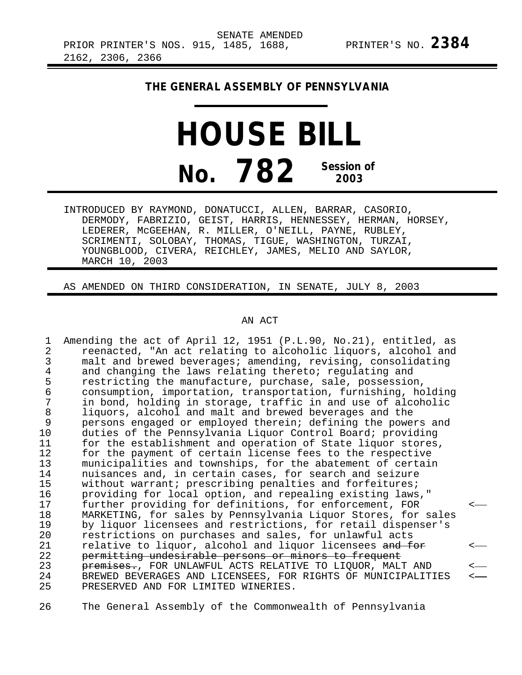## **THE GENERAL ASSEMBLY OF PENNSYLVANIA**

## **HOUSE BILL No. 782 Session of 2003**

INTRODUCED BY RAYMOND, DONATUCCI, ALLEN, BARRAR, CASORIO, DERMODY, FABRIZIO, GEIST, HARRIS, HENNESSEY, HERMAN, HORSEY, LEDERER, McGEEHAN, R. MILLER, O'NEILL, PAYNE, RUBLEY, SCRIMENTI, SOLOBAY, THOMAS, TIGUE, WASHINGTON, TURZAI, YOUNGBLOOD, CIVERA, REICHLEY, JAMES, MELIO AND SAYLOR, MARCH 10, 2003

AS AMENDED ON THIRD CONSIDERATION, IN SENATE, JULY 8, 2003

## AN ACT

1 Amending the act of April 12, 1951 (P.L.90, No.21), entitled, as 2 reenacted, "An act relating to alcoholic liquors, alcohol and<br>3 malt and brewed beverages; amending, revising, consolidating 3 malt and brewed beverages; amending, revising, consolidating<br>4 and changing the laws relating thereto; regulating and 4 and changing the laws relating thereto; regulating and<br>5 restricting the manufacture, purchase, sale, possessio 5 restricting the manufacture, purchase, sale, possession,<br>6 consumption, importation, transportation, furnishing, ho 6 consumption, importation, transportation, furnishing, holding 7 in bond, holding in storage, traffic in and use of alcoholic<br>8 liquors, alcohol and malt and brewed beverages and the 8 liquors, alcohol and malt and brewed beverages and the<br>9 persons engaged or employed therein; defining the powe 9 persons engaged or employed therein; defining the powers and<br>10 duties of the Pennsylvania Liquor Control Board; providing duties of the Pennsylvania Liquor Control Board; providing 11 for the establishment and operation of State liquor stores,<br>12 for the payment of certain license fees to the respective 12 for the payment of certain license fees to the respective<br>13 municipalities and townships, for the abatement of certain 13 municipalities and townships, for the abatement of certain<br>14 muisances and, in certain cases, for search and seizure 14 nuisances and, in certain cases, for search and seizure<br>15 without warrant; prescribing penalties and forfeitures; 15 without warrant; prescribing penalties and forfeitures;<br>16 providing for local option, and repealing existing laws 16 providing for local option, and repealing existing laws,"<br>17 further providing for definitions, for enforcement, FOR 17 further providing for definitions, for enforcement, FOR < 18 MARKETING, for sales by Pennsylvania Liquor Stores, for sales<br>19 by liquor licensees and restrictions, for retail dispenser's 19 by liquor licensees and restrictions, for retail dispenser's<br>20 restrictions on purchases and sales, for unlawful acts 20 restrictions on purchases and sales, for unlawful acts<br>21 relative to liguor, alcohol and liguor licensees and f 21 relative to liquor, alcohol and liquor licensees and for<br>22 permitting undesirable persons or minors to frequent 22 permitting undesirable persons or minors to frequent 23 premises., FOR UNLAWFUL ACTS RELATIVE TO LIQUOR, MALT AND < 24 BREWED BEVERAGES AND LICENSEES, FOR RIGHTS OF MUNICIPALITIES <-<br>25 PRESERVED AND FOR LIMITED WINERIES. PRESERVED AND FOR LIMITED WINERIES.

26 The General Assembly of the Commonwealth of Pennsylvania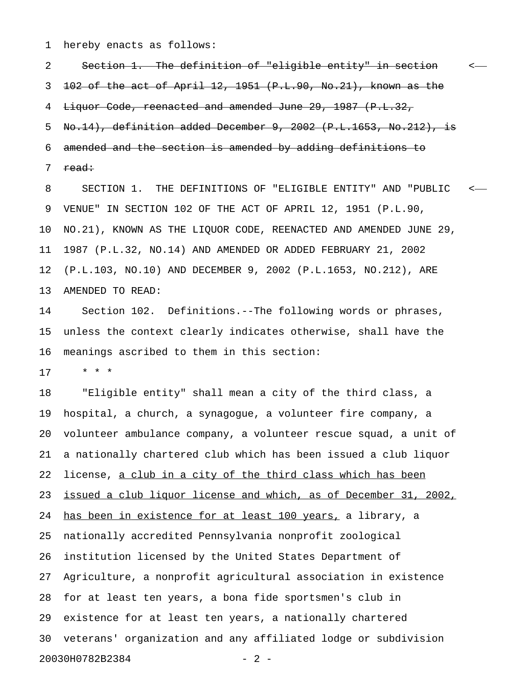1 hereby enacts as follows:

2 Section 1. The definition of "eligible entity" in section < 3 102 of the act of April 12, 1951 (P.L.90, No.21), known as the 4 Liquor Code, reenacted and amended June 29, 1987 (P.L.32, 5 No.14), definition added December 9, 2002 (P.L.1653, No.212), is 6 amended and the section is amended by adding definitions to 7 <del>read:</del>

8 SECTION 1. THE DEFINITIONS OF "ELIGIBLE ENTITY" AND "PUBLIC < 9 VENUE" IN SECTION 102 OF THE ACT OF APRIL 12, 1951 (P.L.90, 10 NO.21), KNOWN AS THE LIQUOR CODE, REENACTED AND AMENDED JUNE 29, 11 1987 (P.L.32, NO.14) AND AMENDED OR ADDED FEBRUARY 21, 2002 12 (P.L.103, NO.10) AND DECEMBER 9, 2002 (P.L.1653, NO.212), ARE 13 AMENDED TO READ:

14 Section 102. Definitions.--The following words or phrases, 15 unless the context clearly indicates otherwise, shall have the 16 meanings ascribed to them in this section:

17 \* \* \*

18 "Eligible entity" shall mean a city of the third class, a 19 hospital, a church, a synagogue, a volunteer fire company, a 20 volunteer ambulance company, a volunteer rescue squad, a unit of 21 a nationally chartered club which has been issued a club liquor 22 license, a club in a city of the third class which has been 23 issued a club liquor license and which, as of December 31, 2002, 24 has been in existence for at least 100 years, a library, a 25 nationally accredited Pennsylvania nonprofit zoological 26 institution licensed by the United States Department of 27 Agriculture, a nonprofit agricultural association in existence 28 for at least ten years, a bona fide sportsmen's club in 29 existence for at least ten years, a nationally chartered 30 veterans' organization and any affiliated lodge or subdivision 20030H0782B2384 - 2 -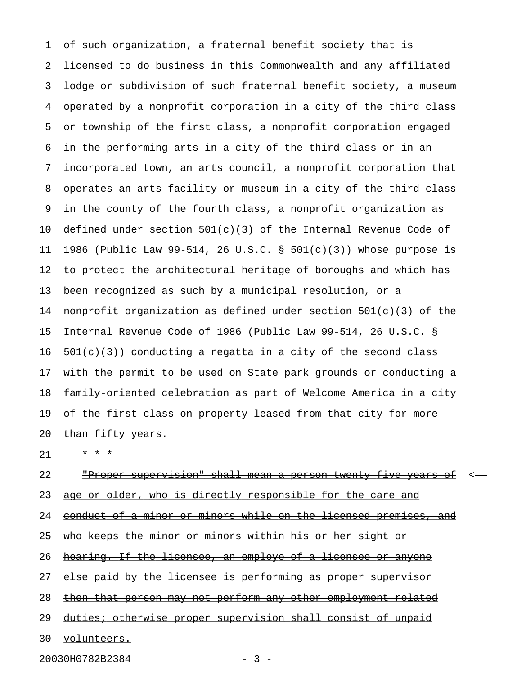1 of such organization, a fraternal benefit society that is 2 licensed to do business in this Commonwealth and any affiliated 3 lodge or subdivision of such fraternal benefit society, a museum 4 operated by a nonprofit corporation in a city of the third class 5 or township of the first class, a nonprofit corporation engaged 6 in the performing arts in a city of the third class or in an 7 incorporated town, an arts council, a nonprofit corporation that 8 operates an arts facility or museum in a city of the third class 9 in the county of the fourth class, a nonprofit organization as 10 defined under section 501(c)(3) of the Internal Revenue Code of 11 1986 (Public Law 99-514, 26 U.S.C. § 501(c)(3)) whose purpose is 12 to protect the architectural heritage of boroughs and which has 13 been recognized as such by a municipal resolution, or a 14 nonprofit organization as defined under section 501(c)(3) of the 15 Internal Revenue Code of 1986 (Public Law 99-514, 26 U.S.C. §  $16$   $501(c)(3)$  conducting a regatta in a city of the second class 17 with the permit to be used on State park grounds or conducting a 18 family-oriented celebration as part of Welcome America in a city 19 of the first class on property leased from that city for more 20 than fifty years.

21 \* \* \*

## 22 The Proper supervision" shall mean a person twenty five years of  $\leq$ 23 age or older, who is directly responsible for the care and 24 conduct of a minor or minors while on the licensed premises, and 25 who keeps the minor or minors within his or her sight or 26 hearing. If the licensee, an employe of a licensee or anyone

27 else paid by the licensee is performing as proper supervisor

28 then that person may not perform any other employment related

29 duties; otherwise proper supervision shall consist of unpaid

30 volunteers.

20030H0782B2384 - 3 -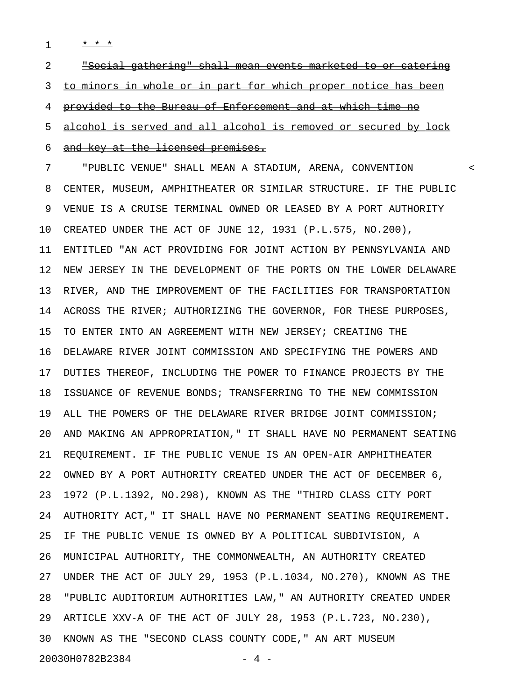1 **\* \* \*** 

2 The social gathering" shall mean events marketed to or catering 3 to minors in whole or in part for which proper notice has been 4 provided to the Bureau of Enforcement and at which time no 5 alcohol is served and all alcohol is removed or secured by lock 6 and key at the licensed premises. 7 "PUBLIC VENUE" SHALL MEAN A STADIUM, ARENA, CONVENTION <

8 CENTER, MUSEUM, AMPHITHEATER OR SIMILAR STRUCTURE. IF THE PUBLIC 9 VENUE IS A CRUISE TERMINAL OWNED OR LEASED BY A PORT AUTHORITY 10 CREATED UNDER THE ACT OF JUNE 12, 1931 (P.L.575, NO.200), 11 ENTITLED "AN ACT PROVIDING FOR JOINT ACTION BY PENNSYLVANIA AND 12 NEW JERSEY IN THE DEVELOPMENT OF THE PORTS ON THE LOWER DELAWARE 13 RIVER, AND THE IMPROVEMENT OF THE FACILITIES FOR TRANSPORTATION 14 ACROSS THE RIVER; AUTHORIZING THE GOVERNOR, FOR THESE PURPOSES, 15 TO ENTER INTO AN AGREEMENT WITH NEW JERSEY; CREATING THE 16 DELAWARE RIVER JOINT COMMISSION AND SPECIFYING THE POWERS AND 17 DUTIES THEREOF, INCLUDING THE POWER TO FINANCE PROJECTS BY THE 18 ISSUANCE OF REVENUE BONDS; TRANSFERRING TO THE NEW COMMISSION 19 ALL THE POWERS OF THE DELAWARE RIVER BRIDGE JOINT COMMISSION; 20 AND MAKING AN APPROPRIATION," IT SHALL HAVE NO PERMANENT SEATING 21 REQUIREMENT. IF THE PUBLIC VENUE IS AN OPEN-AIR AMPHITHEATER 22 OWNED BY A PORT AUTHORITY CREATED UNDER THE ACT OF DECEMBER 6, 23 1972 (P.L.1392, NO.298), KNOWN AS THE "THIRD CLASS CITY PORT 24 AUTHORITY ACT," IT SHALL HAVE NO PERMANENT SEATING REQUIREMENT. 25 IF THE PUBLIC VENUE IS OWNED BY A POLITICAL SUBDIVISION, A 26 MUNICIPAL AUTHORITY, THE COMMONWEALTH, AN AUTHORITY CREATED 27 UNDER THE ACT OF JULY 29, 1953 (P.L.1034, NO.270), KNOWN AS THE 28 "PUBLIC AUDITORIUM AUTHORITIES LAW," AN AUTHORITY CREATED UNDER 29 ARTICLE XXV-A OF THE ACT OF JULY 28, 1953 (P.L.723, NO.230), 30 KNOWN AS THE "SECOND CLASS COUNTY CODE," AN ART MUSEUM

20030H0782B2384 - 4 -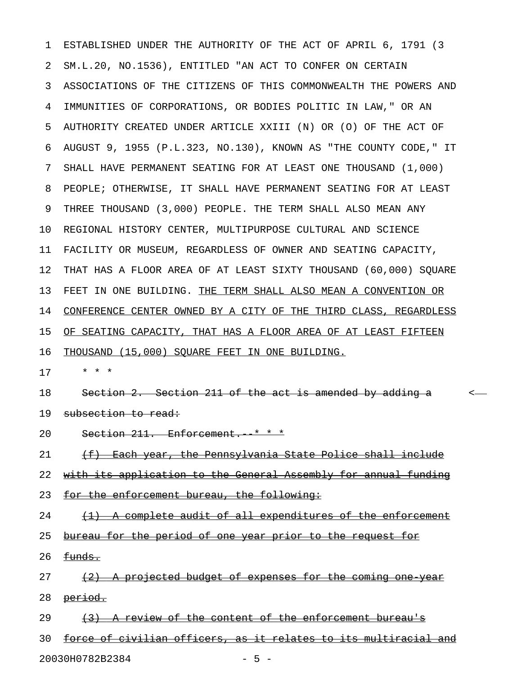1 ESTABLISHED UNDER THE AUTHORITY OF THE ACT OF APRIL 6, 1791 (3 2 SM.L.20, NO.1536), ENTITLED "AN ACT TO CONFER ON CERTAIN 3 ASSOCIATIONS OF THE CITIZENS OF THIS COMMONWEALTH THE POWERS AND 4 IMMUNITIES OF CORPORATIONS, OR BODIES POLITIC IN LAW," OR AN 5 AUTHORITY CREATED UNDER ARTICLE XXIII (N) OR (O) OF THE ACT OF 6 AUGUST 9, 1955 (P.L.323, NO.130), KNOWN AS "THE COUNTY CODE," IT 7 SHALL HAVE PERMANENT SEATING FOR AT LEAST ONE THOUSAND (1,000) 8 PEOPLE; OTHERWISE, IT SHALL HAVE PERMANENT SEATING FOR AT LEAST 9 THREE THOUSAND (3,000) PEOPLE. THE TERM SHALL ALSO MEAN ANY 10 REGIONAL HISTORY CENTER, MULTIPURPOSE CULTURAL AND SCIENCE 11 FACILITY OR MUSEUM, REGARDLESS OF OWNER AND SEATING CAPACITY, 12 THAT HAS A FLOOR AREA OF AT LEAST SIXTY THOUSAND (60,000) SQUARE 13 FEET IN ONE BUILDING. THE TERM SHALL ALSO MEAN A CONVENTION OR 14 CONFERENCE CENTER OWNED BY A CITY OF THE THIRD CLASS, REGARDLESS 15 OF SEATING CAPACITY, THAT HAS A FLOOR AREA OF AT LEAST FIFTEEN 16 THOUSAND (15,000) SQUARE FEET IN ONE BUILDING. 17 \* \* \* 18 Section 2. Section 211 of the act is amended by adding a section 2. 19 subsection to read: 20 Section 211. Enforcement. \* \* \* 21 (f) Each year, the Pennsylvania State Police shall include 22 with its application to the General Assembly for annual funding 23 for the enforcement bureau, the following:  $24$  (1) A complete audit of all expenditures of the enforcement 25 bureau for the period of one year prior to the request for  $26$   $~~fungs~~$ .</del>  $27$  (2) A projected budget of expenses for the coming one year 28 <del>period.</del> 29  $(3)$  A review of the content of the enforcement bureau's 30 force of civilian officers, as it relates to its multiracial and 20030H0782B2384 - 5 -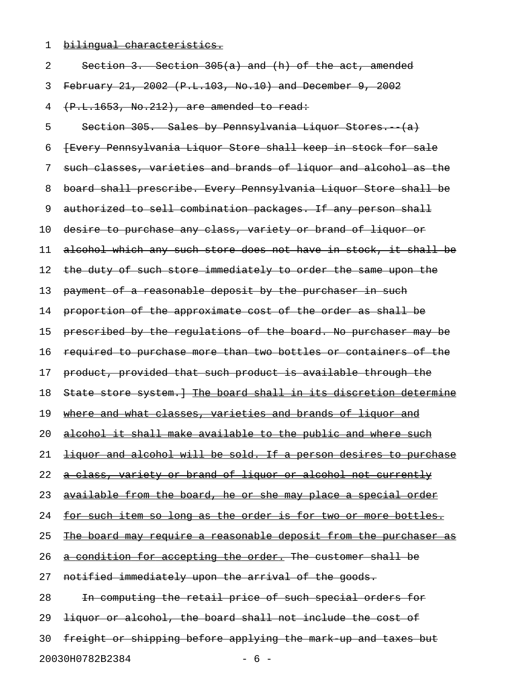1 bilingual characteristics.

| 2                        | Section 3. Section 305(a) and (h) of the act, amended                   |  |
|--------------------------|-------------------------------------------------------------------------|--|
| 3                        | February 21, 2002 (P.L.103, No.10) and December 9, 2002                 |  |
| 4                        | (P.L.1653, No.212), are amended to read:                                |  |
| 5                        | Section 305. Sales by Pennsylvania Liquor Stores. (a)                   |  |
| 6                        | {Every Pennsylvania Liquor Store shall keep in stock for sale           |  |
| 7                        | such classes, varieties and brands of liquor and alcohol as the         |  |
| 8                        | board shall prescribe. Every Pennsylvania Liquor Store shall be         |  |
| 9                        | authorized to sell combination packages. If any person shall            |  |
| 10                       | desire to purchase any class, variety or brand of liquor or             |  |
| 11                       | alcohol which any such store does not have in stock, it shall be        |  |
| 12                       | the duty of such store immediately to order the same upon the           |  |
| 13                       | payment of a reasonable deposit by the purchaser in such                |  |
| 14                       | proportion of the approximate cost of the order as shall be             |  |
| 15                       | prescribed by the requlations of the board. No purchaser may be         |  |
| 16                       | required to purchase more than two bottles or containers of the         |  |
| 17                       | product, provided that such product is available through the            |  |
| 18                       | State store system. The board shall in its discretion determine         |  |
| 19                       | where and what classes, varieties and brands of liquor and              |  |
| 20                       | alcohol it shall make available to the public and where such            |  |
| 21                       | <u>liquor and alcohol will be sold. If a person desires to purchase</u> |  |
| 22                       | a class, variety or brand of liquor or alcohol not currently            |  |
| 23                       | available from the board, he or she may place a special order           |  |
| 24                       | for such item so long as the order is for two or more bottles.          |  |
| 25                       | The board may require a reasonable deposit from the purchaser as        |  |
| 26                       | a condition for accepting the order. The customer shall be              |  |
| 27                       | notified immediately upon the arrival of the goods.                     |  |
| 28                       | In computing the retail price of such special orders for                |  |
| 29                       | liquor or alcohol, the board shall not include the cost of              |  |
| 30                       | freight or shipping before applying the mark up and taxes but           |  |
| 20030H0782B2384<br>$-6-$ |                                                                         |  |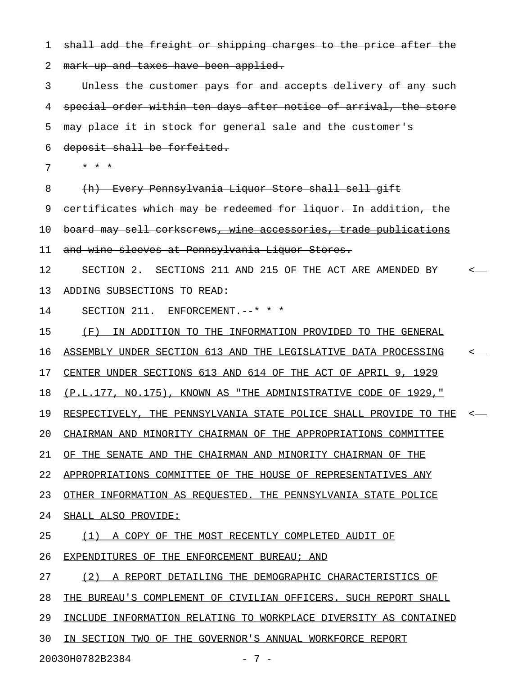1 shall add the freight or shipping charges to the price after the 2 mark-up and taxes have been applied. 3 Unless the customer pays for and accepts delivery of any such 4 special order within ten days after notice of arrival, the store 5 may place it in stock for general sale and the customer's 6 deposit shall be forfeited.  $7 \times x \times x$ 8 (h) Every Pennsylvania Liquor Store shall sell gift 9 certificates which may be redeemed for liquor. In addition, the 10 board may sell corkscrews, wine accessories, trade publications 11 and wine sleeves at Pennsylvania Liquor Stores. 12 SECTION 2. SECTIONS 211 AND 215 OF THE ACT ARE AMENDED BY < 13 ADDING SUBSECTIONS TO READ: 14 SECTION 211. ENFORCEMENT. --\* \* \* 15 (F) IN ADDITION TO THE INFORMATION PROVIDED TO THE GENERAL 16 ASSEMBLY UNDER SECTION 613 AND THE LEGISLATIVE DATA PROCESSING <-17 CENTER UNDER SECTIONS 613 AND 614 OF THE ACT OF APRIL 9, 1929 18 (P.L.177, NO.175), KNOWN AS "THE ADMINISTRATIVE CODE OF 1929," 19 RESPECTIVELY, THE PENNSYLVANIA STATE POLICE SHALL PROVIDE TO THE <-20 CHAIRMAN AND MINORITY CHAIRMAN OF THE APPROPRIATIONS COMMITTEE 21 OF THE SENATE AND THE CHAIRMAN AND MINORITY CHAIRMAN OF THE 22 APPROPRIATIONS COMMITTEE OF THE HOUSE OF REPRESENTATIVES ANY 23 OTHER INFORMATION AS REQUESTED. THE PENNSYLVANIA STATE POLICE 24 SHALL ALSO PROVIDE: 25 (1) A COPY OF THE MOST RECENTLY COMPLETED AUDIT OF 26 EXPENDITURES OF THE ENFORCEMENT BUREAU; AND 27 (2) A REPORT DETAILING THE DEMOGRAPHIC CHARACTERISTICS OF 28 THE BUREAU'S COMPLEMENT OF CIVILIAN OFFICERS. SUCH REPORT SHALL 29 INCLUDE INFORMATION RELATING TO WORKPLACE DIVERSITY AS CONTAINED 30 IN SECTION TWO OF THE GOVERNOR'S ANNUAL WORKFORCE REPORT

20030H0782B2384 - 7 -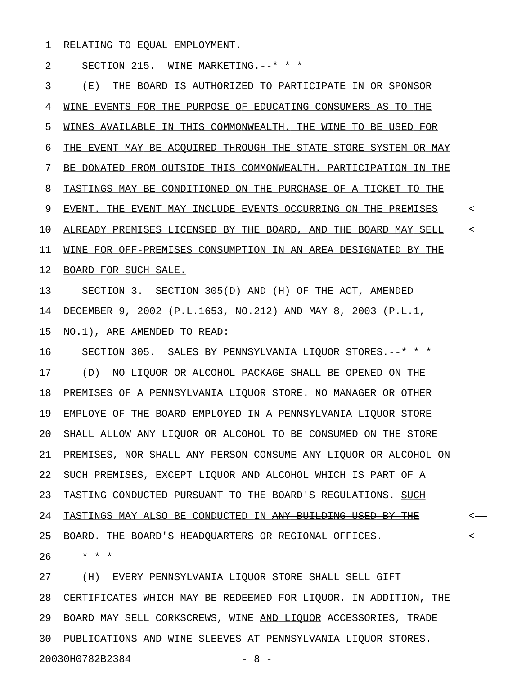1 RELATING TO EQUAL EMPLOYMENT.

2 SECTION 215. WINE MARKETING.--\* \* \*

3 (E) THE BOARD IS AUTHORIZED TO PARTICIPATE IN OR SPONSOR 4 WINE EVENTS FOR THE PURPOSE OF EDUCATING CONSUMERS AS TO THE 5 WINES AVAILABLE IN THIS COMMONWEALTH. THE WINE TO BE USED FOR 6 THE EVENT MAY BE ACOUIRED THROUGH THE STATE STORE SYSTEM OR MAY 7 BE DONATED FROM OUTSIDE THIS COMMONWEALTH. PARTICIPATION IN THE 8 TASTINGS MAY BE CONDITIONED ON THE PURCHASE OF A TICKET TO THE 9 EVENT. THE EVENT MAY INCLUDE EVENTS OCCURRING ON <del>THE PREMISES</del>  $\sim$ 10 ALREADY PREMISES LICENSED BY THE BOARD, AND THE BOARD MAY SELL <-11 WINE FOR OFF-PREMISES CONSUMPTION IN AN AREA DESIGNATED BY THE 12 BOARD FOR SUCH SALE. 13 SECTION 3. SECTION 305(D) AND (H) OF THE ACT, AMENDED 14 DECEMBER 9, 2002 (P.L.1653, NO.212) AND MAY 8, 2003 (P.L.1, 15 NO.1), ARE AMENDED TO READ: 16 SECTION 305. SALES BY PENNSYLVANIA LIQUOR STORES.--\* \* \* 17 (D) NO LIQUOR OR ALCOHOL PACKAGE SHALL BE OPENED ON THE 18 PREMISES OF A PENNSYLVANIA LIQUOR STORE. NO MANAGER OR OTHER 19 EMPLOYE OF THE BOARD EMPLOYED IN A PENNSYLVANIA LIQUOR STORE 20 SHALL ALLOW ANY LIQUOR OR ALCOHOL TO BE CONSUMED ON THE STORE 21 PREMISES, NOR SHALL ANY PERSON CONSUME ANY LIQUOR OR ALCOHOL ON 22 SUCH PREMISES, EXCEPT LIQUOR AND ALCOHOL WHICH IS PART OF A 23 TASTING CONDUCTED PURSUANT TO THE BOARD'S REGULATIONS. SUCH 24 TASTINGS MAY ALSO BE CONDUCTED IN <del>ANY BUILDING USED BY THE</del>  $\sim$ 25 BOARD. THE BOARD'S HEADQUARTERS OR REGIONAL OFFICES. 26 \* \* \* 27 (H) EVERY PENNSYLVANIA LIQUOR STORE SHALL SELL GIFT

28 CERTIFICATES WHICH MAY BE REDEEMED FOR LIQUOR. IN ADDITION, THE 29 BOARD MAY SELL CORKSCREWS, WINE AND LIQUOR ACCESSORIES, TRADE 30 PUBLICATIONS AND WINE SLEEVES AT PENNSYLVANIA LIQUOR STORES. 20030H0782B2384 - 8 -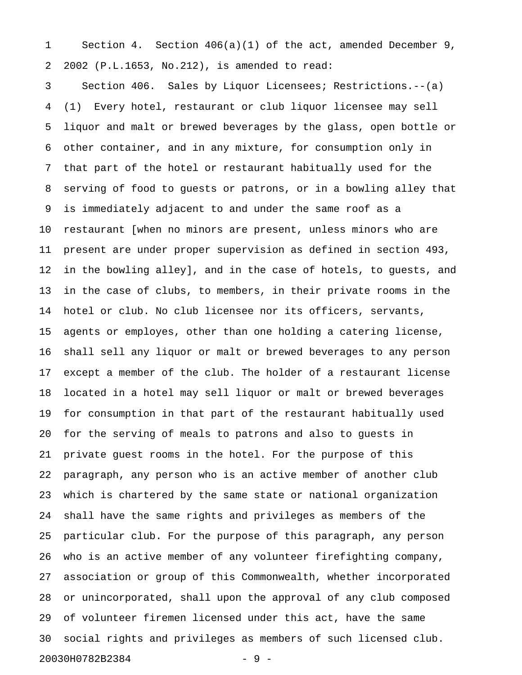1 Section 4. Section 406(a)(1) of the act, amended December 9, 2 2002 (P.L.1653, No.212), is amended to read:

3 Section 406. Sales by Liquor Licensees; Restrictions.--(a) 4 (1) Every hotel, restaurant or club liquor licensee may sell 5 liquor and malt or brewed beverages by the glass, open bottle or 6 other container, and in any mixture, for consumption only in 7 that part of the hotel or restaurant habitually used for the 8 serving of food to guests or patrons, or in a bowling alley that 9 is immediately adjacent to and under the same roof as a 10 restaurant [when no minors are present, unless minors who are 11 present are under proper supervision as defined in section 493, 12 in the bowling alley], and in the case of hotels, to guests, and 13 in the case of clubs, to members, in their private rooms in the 14 hotel or club. No club licensee nor its officers, servants, 15 agents or employes, other than one holding a catering license, 16 shall sell any liquor or malt or brewed beverages to any person 17 except a member of the club. The holder of a restaurant license 18 located in a hotel may sell liquor or malt or brewed beverages 19 for consumption in that part of the restaurant habitually used 20 for the serving of meals to patrons and also to guests in 21 private guest rooms in the hotel. For the purpose of this 22 paragraph, any person who is an active member of another club 23 which is chartered by the same state or national organization 24 shall have the same rights and privileges as members of the 25 particular club. For the purpose of this paragraph, any person 26 who is an active member of any volunteer firefighting company, 27 association or group of this Commonwealth, whether incorporated 28 or unincorporated, shall upon the approval of any club composed 29 of volunteer firemen licensed under this act, have the same 30 social rights and privileges as members of such licensed club. 20030H0782B2384 - 9 -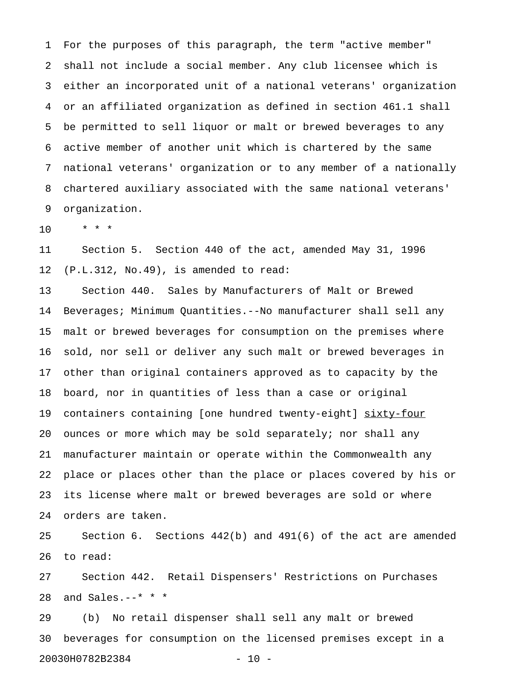1 For the purposes of this paragraph, the term "active member" 2 shall not include a social member. Any club licensee which is 3 either an incorporated unit of a national veterans' organization 4 or an affiliated organization as defined in section 461.1 shall 5 be permitted to sell liquor or malt or brewed beverages to any 6 active member of another unit which is chartered by the same 7 national veterans' organization or to any member of a nationally 8 chartered auxiliary associated with the same national veterans' 9 organization.

10 \* \* \*

11 Section 5. Section 440 of the act, amended May 31, 1996 12 (P.L.312, No.49), is amended to read:

13 Section 440. Sales by Manufacturers of Malt or Brewed 14 Beverages; Minimum Quantities.--No manufacturer shall sell any 15 malt or brewed beverages for consumption on the premises where 16 sold, nor sell or deliver any such malt or brewed beverages in 17 other than original containers approved as to capacity by the 18 board, nor in quantities of less than a case or original 19 containers containing [one hundred twenty-eight] sixty-four 20 ounces or more which may be sold separately; nor shall any 21 manufacturer maintain or operate within the Commonwealth any 22 place or places other than the place or places covered by his or 23 its license where malt or brewed beverages are sold or where 24 orders are taken.

25 Section 6. Sections 442(b) and 491(6) of the act are amended 26 to read:

27 Section 442. Retail Dispensers' Restrictions on Purchases 28 and Sales.--\* \* \*

29 (b) No retail dispenser shall sell any malt or brewed 30 beverages for consumption on the licensed premises except in a 20030H0782B2384 - 10 -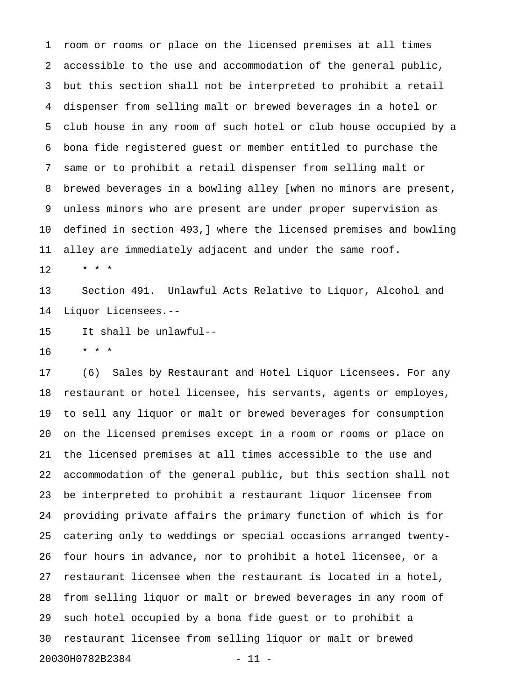1 room or rooms or place on the licensed premises at all times 2 accessible to the use and accommodation of the general public, 3 but this section shall not be interpreted to prohibit a retail 4 dispenser from selling malt or brewed beverages in a hotel or 5 club house in any room of such hotel or club house occupied by a 6 bona fide registered guest or member entitled to purchase the 7 same or to prohibit a retail dispenser from selling malt or 8 brewed beverages in a bowling alley [when no minors are present, 9 unless minors who are present are under proper supervision as 10 defined in section 493,] where the licensed premises and bowling 11 alley are immediately adjacent and under the same roof.  $12 + * * *$ 

13 Section 491. Unlawful Acts Relative to Liquor, Alcohol and 14 Liquor Licensees.--

15 It shall be unlawful--

16 \* \* \*

17 (6) Sales by Restaurant and Hotel Liquor Licensees. For any 18 restaurant or hotel licensee, his servants, agents or employes, 19 to sell any liquor or malt or brewed beverages for consumption 20 on the licensed premises except in a room or rooms or place on 21 the licensed premises at all times accessible to the use and 22 accommodation of the general public, but this section shall not 23 be interpreted to prohibit a restaurant liquor licensee from 24 providing private affairs the primary function of which is for 25 catering only to weddings or special occasions arranged twenty-26 four hours in advance, nor to prohibit a hotel licensee, or a 27 restaurant licensee when the restaurant is located in a hotel, 28 from selling liquor or malt or brewed beverages in any room of 29 such hotel occupied by a bona fide guest or to prohibit a 30 restaurant licensee from selling liquor or malt or brewed 20030H0782B2384 - 11 -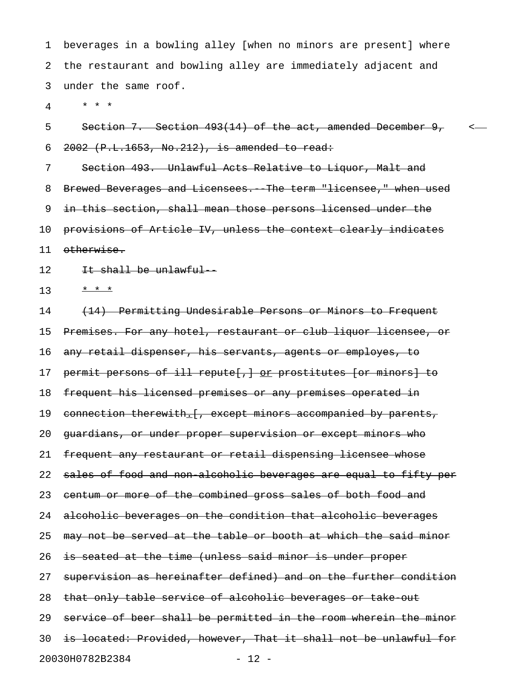1 beverages in a bowling alley [when no minors are present] where 2 the restaurant and bowling alley are immediately adjacent and 3 under the same roof.

4 \* \* \*

5 Section 7. Section 493(14) of the act, amended December 9, < 6  $2002$  (P.L.1653, No.212), is amended to read:

7 Section 493. Unlawful Acts Relative to Liquor, Malt and 8 Brewed Beverages and Licensees. The term "licensee," when used 9 in this section, shall mean those persons licensed under the 10 provisions of Article IV, unless the context clearly indicates 11 otherwise.

12 It shall be unlawful-

13  $* * *$ 

14 (14) Permitting Undesirable Persons or Minors to Frequent 15 Premises. For any hotel, restaurant or club liquor licensee, or 16 any retail dispenser, his servants, agents or employes, to 17 permit persons of ill repute[,] or prostitutes [or minors] to 18 frequent his licensed premises or any premises operated in 19 connection therewith. [, except minors accompanied by parents, 20 guardians, or under proper supervision or except minors who 21 frequent any restaurant or retail dispensing licensee whose 22 sales of food and non alcoholic beverages are equal to fifty per 23 centum or more of the combined gross sales of both food and 24 alcoholic beverages on the condition that alcoholic beverages 25 may not be served at the table or booth at which the said minor 26 is seated at the time (unless said minor is under proper 27 supervision as hereinafter defined) and on the further condition 28 that only table service of alcoholic beverages or take out 29 service of beer shall be permitted in the room wherein the minor 30 is located: Provided, however, That it shall not be unlawful for 20030H0782B2384 - 12 -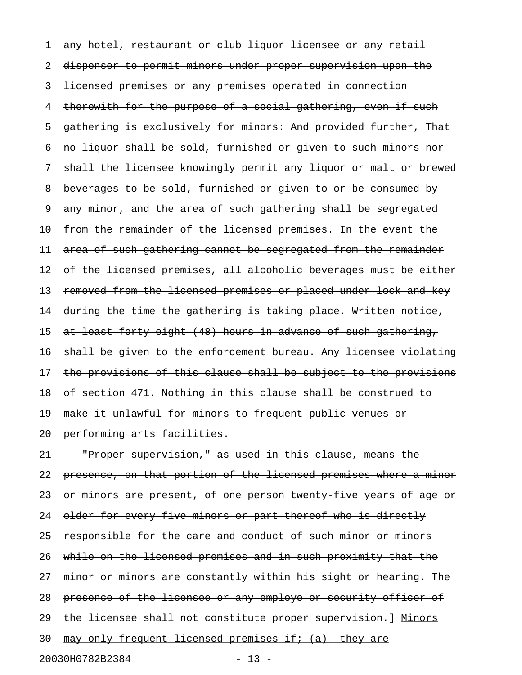1 any hotel, restaurant or club liquor licensee or any retail 2 dispenser to permit minors under proper supervision upon the 3 licensed premises or any premises operated in connection 4 therewith for the purpose of a social gathering, even if such 5 gathering is exclusively for minors: And provided further, That 6 no liquor shall be sold, furnished or given to such minors nor 7 shall the licensee knowingly permit any liquor or malt or brewed 8 beverages to be sold, furnished or given to or be consumed by 9 any minor, and the area of such gathering shall be segregated 10 from the remainder of the licensed premises. In the event the 11 area of such gathering cannot be segregated from the remainder 12 of the licensed premises, all alcoholic beverages must be either 13 removed from the licensed premises or placed under lock and key 14 during the time the gathering is taking place. Written notice, 15 at least forty eight (48) hours in advance of such gathering, 16 shall be given to the enforcement bureau. Any licensee violating 17 the provisions of this clause shall be subject to the provisions 18 of section 471. Nothing in this clause shall be construed to 19 make it unlawful for minors to frequent public venues or 20 performing arts facilities.

21 "Proper supervision," as used in this clause, means the 22 presence, on that portion of the licensed premises where a minor 23 or minors are present, of one person twenty five years of age or 24 older for every five minors or part thereof who is directly 25 responsible for the care and conduct of such minor or minors 26 while on the licensed premises and in such proximity that the 27 minor or minors are constantly within his sight or hearing. The 28 presence of the licensee or any employe or security officer of 29 the licensee shall not constitute proper supervision. ] Minors 30 may only frequent licensed premises if; (a) they are 20030H0782B2384 - 13 -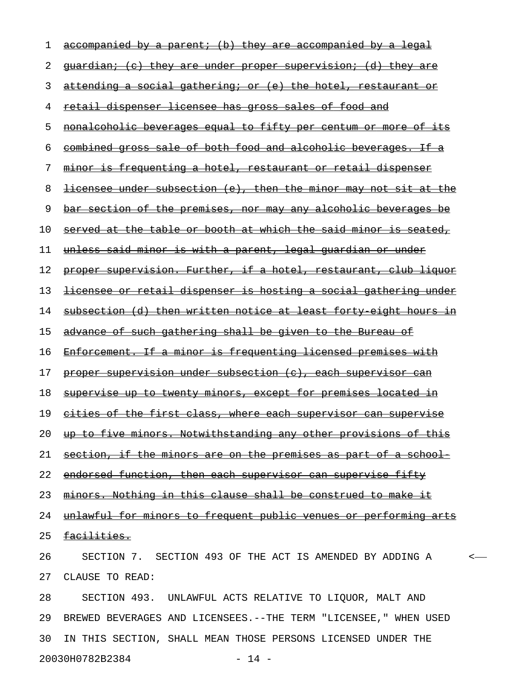| 1  | accompanied by a parent; (b) they are accompanied by a legal             |
|----|--------------------------------------------------------------------------|
| 2  | <u>guardian; (c) they are under proper supervision; (d) they are</u>     |
| 3  | attending a social gathering; or (e) the hotel, restaurant or            |
| 4  | retail dispenser licensee has gross sales of food and                    |
| 5  | nonalcoholic beverages equal to fifty per centum or more of its          |
| 6  | combined gross sale of both food and alcoholic beverages. If a           |
| 7  | <u>minor is frequenting a hotel, restaurant or retail dispenser</u>      |
| 8  | <u>licensee under subsection (e), then the minor may not sit at the </u> |
| 9  | <u>bar section of the premises, nor may any alcoholic beverages be</u>   |
| 10 | served at the table or booth at which the said minor is seated,          |
| 11 | <u>unless said minor is with a parent, legal quardian or under</u>       |
| 12 | proper supervision. Further, if a hotel, restaurant, club liquor         |
| 13 | <u>licensee or retail dispenser is hosting a social gathering under</u>  |
| 14 | subsection (d) then written notice at least forty eight hours in         |
| 15 | advance of such gathering shall be given to the Bureau of                |
| 16 | Enforcement. If a minor is frequenting licensed premises with            |
| 17 | proper supervision under subsection (c), each supervisor can             |
| 18 | <u>supervise up to twenty minors, except for premises located in</u>     |
| 19 | cities of the first class, where each supervisor can supervise           |
| 20 | up to five minors. Notwithstanding any other provisions of this          |
| 21 | section, if the minors are on the premises as part of a school-          |
| 22 | endorsed function, then each supervisor can supervise fifty              |
| 23 | minors. Nothing in this clause shall be construed to make it             |
| 24 | unlawful for minors to frequent public venues or performing arts         |
| 25 | <del>facilities.</del>                                                   |
| 26 | SECTION 7. SECTION 493 OF THE ACT IS AMENDED BY ADDING A                 |
| 27 | CLAUSE TO READ:                                                          |
| 28 | SECTION 493. UNLAWFUL ACTS RELATIVE TO LIQUOR, MALT AND                  |
| 29 | BREWED BEVERAGES AND LICENSEES. -- THE TERM "LICENSEE, " WHEN USED       |
| 30 | IN THIS SECTION, SHALL MEAN THOSE PERSONS LICENSED UNDER THE             |

20030H0782B2384 - 14 -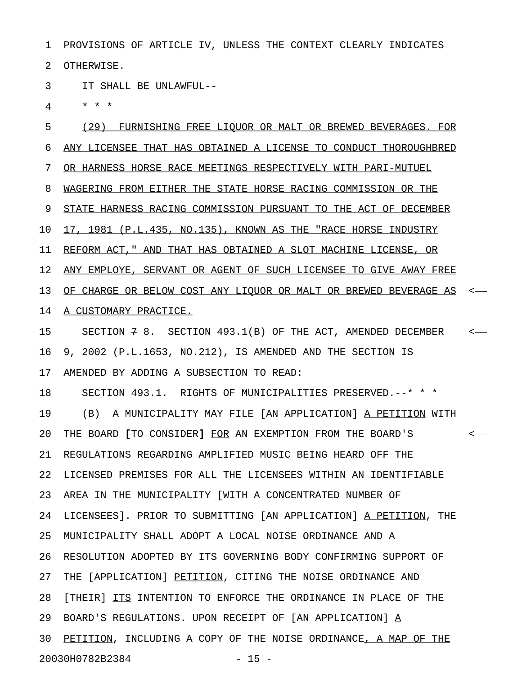1 PROVISIONS OF ARTICLE IV, UNLESS THE CONTEXT CLEARLY INDICATES 2 OTHERWISE.

3 IT SHALL BE UNLAWFUL--

4 \* \* \*

5 (29) FURNISHING FREE LIQUOR OR MALT OR BREWED BEVERAGES. FOR 6 ANY LICENSEE THAT HAS OBTAINED A LICENSE TO CONDUCT THOROUGHBRED 7 OR HARNESS HORSE RACE MEETINGS RESPECTIVELY WITH PARI-MUTUEL 8 WAGERING FROM EITHER THE STATE HORSE RACING COMMISSION OR THE 9 STATE HARNESS RACING COMMISSION PURSUANT TO THE ACT OF DECEMBER 10 17, 1981 (P.L.435, NO.135), KNOWN AS THE "RACE HORSE INDUSTRY 11 REFORM ACT," AND THAT HAS OBTAINED A SLOT MACHINE LICENSE, OR 12 ANY EMPLOYE, SERVANT OR AGENT OF SUCH LICENSEE TO GIVE AWAY FREE 13 OF CHARGE OR BELOW COST ANY LIQUOR OR MALT OR BREWED BEVERAGE AS <-14 A CUSTOMARY PRACTICE. 15 SECTION 7 8. SECTION 493.1(B) OF THE ACT, AMENDED DECEMBER < 16 9, 2002 (P.L.1653, NO.212), IS AMENDED AND THE SECTION IS 17 AMENDED BY ADDING A SUBSECTION TO READ: 18 SECTION 493.1. RIGHTS OF MUNICIPALITIES PRESERVED.--\* \* \* 19 (B) A MUNICIPALITY MAY FILE [AN APPLICATION] A PETITION WITH 20 THE BOARD [TO CONSIDER] FOR AN EXEMPTION FROM THE BOARD'S < **[ ]** \_\_\_ 21 REGULATIONS REGARDING AMPLIFIED MUSIC BEING HEARD OFF THE 22 LICENSED PREMISES FOR ALL THE LICENSEES WITHIN AN IDENTIFIABLE 23 AREA IN THE MUNICIPALITY [WITH A CONCENTRATED NUMBER OF 24 LICENSEES]. PRIOR TO SUBMITTING [AN APPLICATION] <u>A PETITION</u>, THE 25 MUNICIPALITY SHALL ADOPT A LOCAL NOISE ORDINANCE AND A 26 RESOLUTION ADOPTED BY ITS GOVERNING BODY CONFIRMING SUPPORT OF 27 THE [APPLICATION] PETITION, CITING THE NOISE ORDINANCE AND 28 [THEIR] ITS INTENTION TO ENFORCE THE ORDINANCE IN PLACE OF THE 29 BOARD'S REGULATIONS. UPON RECEIPT OF [AN APPLICATION] A\_ 30 PETITION, INCLUDING A COPY OF THE NOISE ORDINANCE, A MAP OF THE 20030H0782B2384 - 15 -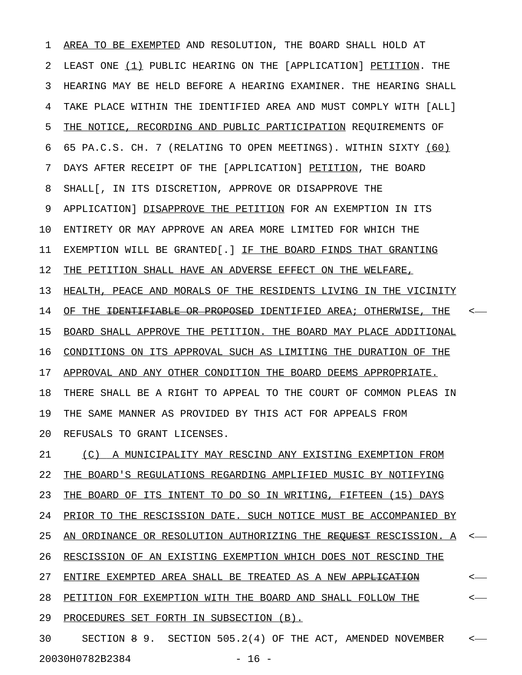1 AREA TO BE EXEMPTED AND RESOLUTION, THE BOARD SHALL HOLD AT 2 LEAST ONE (1) PUBLIC HEARING ON THE [APPLICATION] PETITION. THE 3 HEARING MAY BE HELD BEFORE A HEARING EXAMINER. THE HEARING SHALL 4 TAKE PLACE WITHIN THE IDENTIFIED AREA AND MUST COMPLY WITH [ALL] 5 THE NOTICE, RECORDING AND PUBLIC PARTICIPATION REQUIREMENTS OF 6 65 PA.C.S. CH. 7 (RELATING TO OPEN MEETINGS). WITHIN SIXTY (60) \_\_\_\_ 7 DAYS AFTER RECEIPT OF THE [APPLICATION] PETITION, THE BOARD 8 SHALL[, IN ITS DISCRETION, APPROVE OR DISAPPROVE THE 9 APPLICATION] DISAPPROVE THE PETITION FOR AN EXEMPTION IN ITS 10 ENTIRETY OR MAY APPROVE AN AREA MORE LIMITED FOR WHICH THE 11 EXEMPTION WILL BE GRANTED[.] IF THE BOARD FINDS THAT GRANTING 12 THE PETITION SHALL HAVE AN ADVERSE EFFECT ON THE WELFARE, 13 HEALTH, PEACE AND MORALS OF THE RESIDENTS LIVING IN THE VICINITY 14 OF THE <del>IDENTIFIABLE OR PROPOSED</del> IDENTIFIED AREA; OTHERWISE, THE <-15 BOARD SHALL APPROVE THE PETITION. THE BOARD MAY PLACE ADDITIONAL 16 CONDITIONS ON ITS APPROVAL SUCH AS LIMITING THE DURATION OF THE 17 APPROVAL AND ANY OTHER CONDITION THE BOARD DEEMS APPROPRIATE. 18 THERE SHALL BE A RIGHT TO APPEAL TO THE COURT OF COMMON PLEAS IN 19 THE SAME MANNER AS PROVIDED BY THIS ACT FOR APPEALS FROM 20 REFUSALS TO GRANT LICENSES. 21 (C) A MUNICIPALITY MAY RESCIND ANY EXISTING EXEMPTION FROM 22 THE BOARD'S REGULATIONS REGARDING AMPLIFIED MUSIC BY NOTIFYING 23 THE BOARD OF ITS INTENT TO DO SO IN WRITING, FIFTEEN (15) DAYS 24 PRIOR TO THE RESCISSION DATE. SUCH NOTICE MUST BE ACCOMPANIED BY 25 AN ORDINANCE OR RESOLUTION AUTHORIZING THE REQUEST RESCISSION. A <-26 RESCISSION OF AN EXISTING EXEMPTION WHICH DOES NOT RESCIND THE 27 ENTIRE EXEMPTED AREA SHALL BE TREATED AS A NEW <del>APPLICATION</del>  $\leftarrow$ 

28 PETITION FOR EXEMPTION WITH THE BOARD AND SHALL FOLLOW THE  $\longleftarrow$ 

29 PROCEDURES SET FORTH IN SUBSECTION (B).

30 SECTION 8 9. SECTION 505.2(4) OF THE ACT, AMENDED NOVEMBER < 20030H0782B2384 - 16 -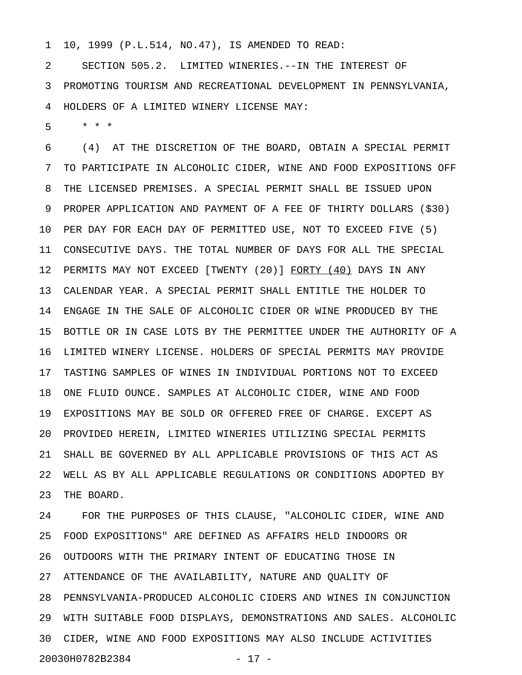1 10, 1999 (P.L.514, NO.47), IS AMENDED TO READ:

2 SECTION 505.2. LIMITED WINERIES.--IN THE INTEREST OF 3 PROMOTING TOURISM AND RECREATIONAL DEVELOPMENT IN PENNSYLVANIA, 4 HOLDERS OF A LIMITED WINERY LICENSE MAY:

5 \* \* \*

6 (4) AT THE DISCRETION OF THE BOARD, OBTAIN A SPECIAL PERMIT 7 TO PARTICIPATE IN ALCOHOLIC CIDER, WINE AND FOOD EXPOSITIONS OFF 8 THE LICENSED PREMISES. A SPECIAL PERMIT SHALL BE ISSUED UPON 9 PROPER APPLICATION AND PAYMENT OF A FEE OF THIRTY DOLLARS (\$30) 10 PER DAY FOR EACH DAY OF PERMITTED USE, NOT TO EXCEED FIVE (5) 11 CONSECUTIVE DAYS. THE TOTAL NUMBER OF DAYS FOR ALL THE SPECIAL 12 PERMITS MAY NOT EXCEED [TWENTY (20)] FORTY (40) DAYS IN ANY 13 CALENDAR YEAR. A SPECIAL PERMIT SHALL ENTITLE THE HOLDER TO 14 ENGAGE IN THE SALE OF ALCOHOLIC CIDER OR WINE PRODUCED BY THE 15 BOTTLE OR IN CASE LOTS BY THE PERMITTEE UNDER THE AUTHORITY OF A 16 LIMITED WINERY LICENSE. HOLDERS OF SPECIAL PERMITS MAY PROVIDE 17 TASTING SAMPLES OF WINES IN INDIVIDUAL PORTIONS NOT TO EXCEED 18 ONE FLUID OUNCE. SAMPLES AT ALCOHOLIC CIDER, WINE AND FOOD 19 EXPOSITIONS MAY BE SOLD OR OFFERED FREE OF CHARGE. EXCEPT AS 20 PROVIDED HEREIN, LIMITED WINERIES UTILIZING SPECIAL PERMITS 21 SHALL BE GOVERNED BY ALL APPLICABLE PROVISIONS OF THIS ACT AS 22 WELL AS BY ALL APPLICABLE REGULATIONS OR CONDITIONS ADOPTED BY 23 THE BOARD.

24 FOR THE PURPOSES OF THIS CLAUSE, "ALCOHOLIC CIDER, WINE AND 25 FOOD EXPOSITIONS" ARE DEFINED AS AFFAIRS HELD INDOORS OR 26 OUTDOORS WITH THE PRIMARY INTENT OF EDUCATING THOSE IN 27 ATTENDANCE OF THE AVAILABILITY, NATURE AND QUALITY OF 28 PENNSYLVANIA-PRODUCED ALCOHOLIC CIDERS AND WINES IN CONJUNCTION 29 WITH SUITABLE FOOD DISPLAYS, DEMONSTRATIONS AND SALES. ALCOHOLIC 30 CIDER, WINE AND FOOD EXPOSITIONS MAY ALSO INCLUDE ACTIVITIES 20030H0782B2384 - 17 -